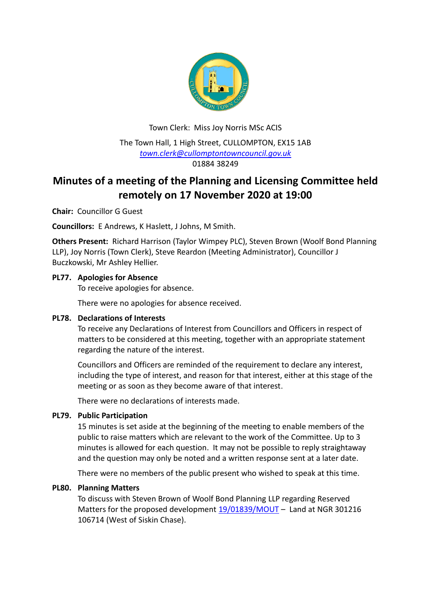

Town Clerk: Miss Joy Norris MSc ACIS The Town Hall, 1 High Street, CULLOMPTON, EX15 1AB *[town.clerk@cullomptontowncouncil.gov.uk](mailto:town.clerk@cullomptontowncouncil.gov.uk)* 01884 38249

# **Minutes of a meeting of the Planning and Licensing Committee held remotely on 17 November 2020 at 19:00**

**Chair:** Councillor G Guest

**Councillors:** E Andrews, K Haslett, J Johns, M Smith.

**Others Present:** Richard Harrison (Taylor Wimpey PLC), Steven Brown (Woolf Bond Planning LLP), Joy Norris (Town Clerk), Steve Reardon (Meeting Administrator), Councillor J Buczkowski, Mr Ashley Hellier.

# **PL77. Apologies for Absence**

To receive apologies for absence.

There were no apologies for absence received.

### **PL78. Declarations of Interests**

To receive any Declarations of Interest from Councillors and Officers in respect of matters to be considered at this meeting, together with an appropriate statement regarding the nature of the interest.

Councillors and Officers are reminded of the requirement to declare any interest, including the type of interest, and reason for that interest, either at this stage of the meeting or as soon as they become aware of that interest.

There were no declarations of interests made.

# **PL79. Public Participation**

15 minutes is set aside at the beginning of the meeting to enable members of the public to raise matters which are relevant to the work of the Committee. Up to 3 minutes is allowed for each question. It may not be possible to reply straightaway and the question may only be noted and a written response sent at a later date.

There were no members of the public present who wished to speak at this time.

### **PL80. Planning Matters**

To discuss with Steven Brown of Woolf Bond Planning LLP regarding Reserved Matters for the proposed development [19/01839/MOUT](https://planning.middevon.gov.uk/online-applications/applicationDetails.do?activeTab=documents&keyVal=Q0G0GKKS05K00) – Land at NGR 301216 106714 (West of Siskin Chase).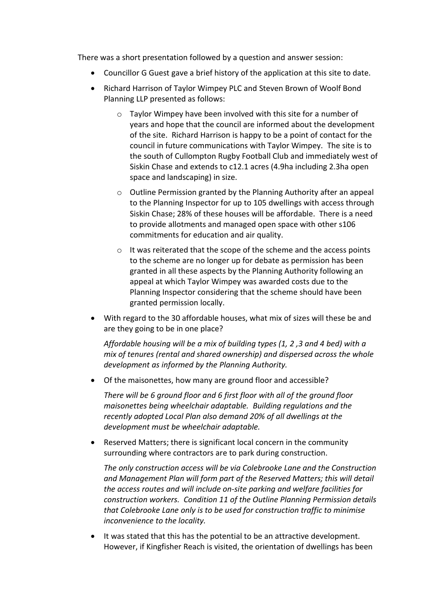There was a short presentation followed by a question and answer session:

- Councillor G Guest gave a brief history of the application at this site to date.
- Richard Harrison of Taylor Wimpey PLC and Steven Brown of Woolf Bond Planning LLP presented as follows:
	- o Taylor Wimpey have been involved with this site for a number of years and hope that the council are informed about the development of the site. Richard Harrison is happy to be a point of contact for the council in future communications with Taylor Wimpey. The site is to the south of Cullompton Rugby Football Club and immediately west of Siskin Chase and extends to c12.1 acres (4.9ha including 2.3ha open space and landscaping) in size.
	- o Outline Permission granted by the Planning Authority after an appeal to the Planning Inspector for up to 105 dwellings with access through Siskin Chase; 28% of these houses will be affordable. There is a need to provide allotments and managed open space with other s106 commitments for education and air quality.
	- o It was reiterated that the scope of the scheme and the access points to the scheme are no longer up for debate as permission has been granted in all these aspects by the Planning Authority following an appeal at which Taylor Wimpey was awarded costs due to the Planning Inspector considering that the scheme should have been granted permission locally.
- With regard to the 30 affordable houses, what mix of sizes will these be and are they going to be in one place?

*Affordable housing will be a mix of building types (1, 2 ,3 and 4 bed) with a mix of tenures (rental and shared ownership) and dispersed across the whole development as informed by the Planning Authority.*

Of the maisonettes, how many are ground floor and accessible?

*There will be 6 ground floor and 6 first floor with all of the ground floor maisonettes being wheelchair adaptable. Building regulations and the recently adopted Local Plan also demand 20% of all dwellings at the development must be wheelchair adaptable.*

 Reserved Matters; there is significant local concern in the community surrounding where contractors are to park during construction.

*The only construction access will be via Colebrooke Lane and the Construction and Management Plan will form part of the Reserved Matters; this will detail the access routes and will include on-site parking and welfare facilities for construction workers. Condition 11 of the Outline Planning Permission details that Colebrooke Lane only is to be used for construction traffic to minimise inconvenience to the locality.*

• It was stated that this has the potential to be an attractive development. However, if Kingfisher Reach is visited, the orientation of dwellings has been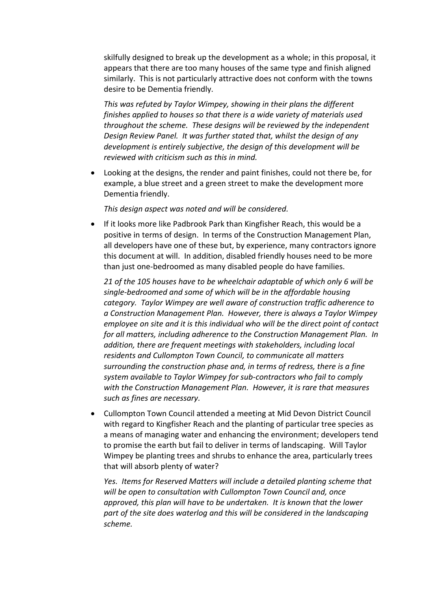skilfully designed to break up the development as a whole; in this proposal, it appears that there are too many houses of the same type and finish aligned similarly. This is not particularly attractive does not conform with the towns desire to be Dementia friendly.

*This was refuted by Taylor Wimpey, showing in their plans the different finishes applied to houses so that there is a wide variety of materials used throughout the scheme. These designs will be reviewed by the independent Design Review Panel. It was further stated that, whilst the design of any development is entirely subjective, the design of this development will be reviewed with criticism such as this in mind.*

 Looking at the designs, the render and paint finishes, could not there be, for example, a blue street and a green street to make the development more Dementia friendly.

*This design aspect was noted and will be considered.*

 If it looks more like Padbrook Park than Kingfisher Reach, this would be a positive in terms of design. In terms of the Construction Management Plan, all developers have one of these but, by experience, many contractors ignore this document at will. In addition, disabled friendly houses need to be more than just one-bedroomed as many disabled people do have families.

*21 of the 105 houses have to be wheelchair adaptable of which only 6 will be single-bedroomed and some of which will be in the affordable housing category. Taylor Wimpey are well aware of construction traffic adherence to a Construction Management Plan. However, there is always a Taylor Wimpey employee on site and it is this individual who will be the direct point of contact for all matters, including adherence to the Construction Management Plan. In addition, there are frequent meetings with stakeholders, including local residents and Cullompton Town Council, to communicate all matters surrounding the construction phase and, in terms of redress, there is a fine system available to Taylor Wimpey for sub-contractors who fail to comply with the Construction Management Plan. However, it is rare that measures such as fines are necessary.*

 Cullompton Town Council attended a meeting at Mid Devon District Council with regard to Kingfisher Reach and the planting of particular tree species as a means of managing water and enhancing the environment; developers tend to promise the earth but fail to deliver in terms of landscaping. Will Taylor Wimpey be planting trees and shrubs to enhance the area, particularly trees that will absorb plenty of water?

*Yes. Items for Reserved Matters will include a detailed planting scheme that will be open to consultation with Cullompton Town Council and, once approved, this plan will have to be undertaken. It is known that the lower part of the site does waterlog and this will be considered in the landscaping scheme.*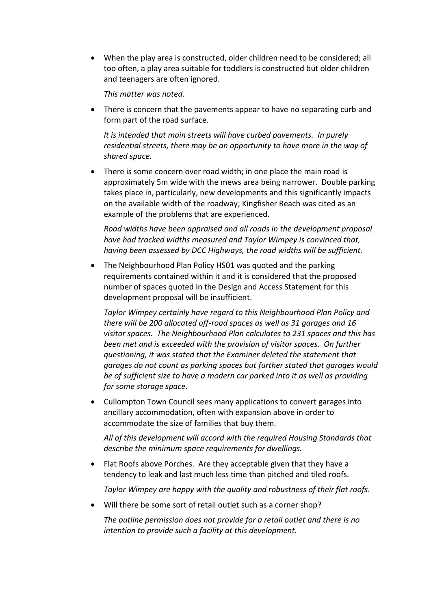When the play area is constructed, older children need to be considered; all too often, a play area suitable for toddlers is constructed but older children and teenagers are often ignored.

*This matter was noted.*

 There is concern that the pavements appear to have no separating curb and form part of the road surface.

*It is intended that main streets will have curbed pavements. In purely residential streets, there may be an opportunity to have more in the way of shared space.*

 There is some concern over road width; in one place the main road is approximately 5m wide with the mews area being narrower. Double parking takes place in, particularly, new developments and this significantly impacts on the available width of the roadway; Kingfisher Reach was cited as an example of the problems that are experienced.

*Road widths have been appraised and all roads in the development proposal have had tracked widths measured and Taylor Wimpey is convinced that, having been assessed by DCC Highways, the road widths will be sufficient.*

 The Neighbourhood Plan Policy HS01 was quoted and the parking requirements contained within it and it is considered that the proposed number of spaces quoted in the Design and Access Statement for this development proposal will be insufficient.

*Taylor Wimpey certainly have regard to this Neighbourhood Plan Policy and there will be 200 allocated off-road spaces as well as 31 garages and 16 visitor spaces. The Neighbourhood Plan calculates to 231 spaces and this has been met and is exceeded with the provision of visitor spaces. On further questioning, it was stated that the Examiner deleted the statement that garages do not count as parking spaces but further stated that garages would be of sufficient size to have a modern car parked into it as well as providing for some storage space.*

 Cullompton Town Council sees many applications to convert garages into ancillary accommodation, often with expansion above in order to accommodate the size of families that buy them.

*All of this development will accord with the required Housing Standards that describe the minimum space requirements for dwellings.*

 Flat Roofs above Porches. Are they acceptable given that they have a tendency to leak and last much less time than pitched and tiled roofs.

*Taylor Wimpey are happy with the quality and robustness of their flat roofs.*

Will there be some sort of retail outlet such as a corner shop?

*The outline permission does not provide for a retail outlet and there is no intention to provide such a facility at this development.*